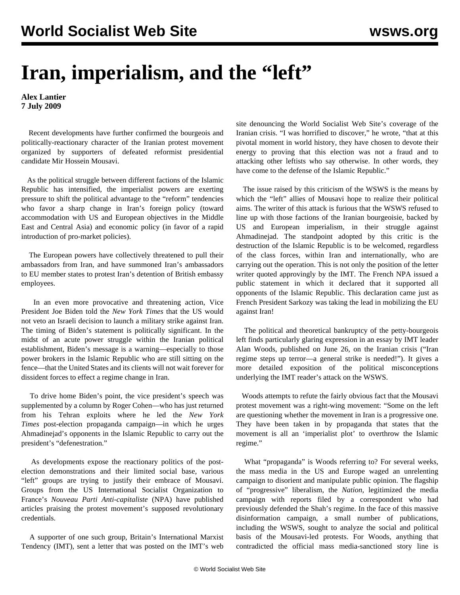## **Iran, imperialism, and the "left"**

**Alex Lantier 7 July 2009**

 Recent developments have further confirmed the bourgeois and politically-reactionary character of the Iranian protest movement organized by supporters of defeated reformist presidential candidate Mir Hossein Mousavi.

 As the political struggle between different factions of the Islamic Republic has intensified, the imperialist powers are exerting pressure to shift the political advantage to the "reform" tendencies who favor a sharp change in Iran's foreign policy (toward accommodation with US and European objectives in the Middle East and Central Asia) and economic policy (in favor of a rapid introduction of pro-market policies).

 The European powers have collectively threatened to pull their ambassadors from Iran, and have summoned Iran's ambassadors to EU member states to protest Iran's detention of British embassy employees.

 In an even more provocative and threatening action, Vice President Joe Biden told the *New York Times* that the US would not veto an Israeli decision to launch a military strike against Iran. The timing of Biden's statement is politically significant. In the midst of an acute power struggle within the Iranian political establishment, Biden's message is a warning—especially to those power brokers in the Islamic Republic who are still sitting on the fence—that the United States and its clients will not wait forever for dissident forces to effect a regime change in Iran.

 To drive home Biden's point, the vice president's speech was supplemented by a column by Roger Cohen—who has just returned from his Tehran exploits where he led the *New York Times* post-election propaganda campaign—in which he urges Ahmadinejad's opponents in the Islamic Republic to carry out the president's "defenestration."

 As developments expose the reactionary politics of the postelection demonstrations and their limited social base, various "left" groups are trying to justify their embrace of Mousavi. Groups from the US International Socialist Organization to France's *Nouveau Parti Anti-capitaliste* (NPA) have published articles praising the protest movement's supposed revolutionary credentials.

 A supporter of one such group, Britain's International Marxist Tendency (IMT), sent a letter that was posted on the IMT's web

site denouncing the World Socialist Web Site's coverage of the Iranian crisis. "I was horrified to discover," he wrote, "that at this pivotal moment in world history, they have chosen to devote their energy to proving that this election was not a fraud and to attacking other leftists who say otherwise. In other words, they have come to the defense of the Islamic Republic."

 The issue raised by this criticism of the WSWS is the means by which the "left" allies of Mousavi hope to realize their political aims. The writer of this attack is furious that the WSWS refused to line up with those factions of the Iranian bourgeoisie, backed by US and European imperialism, in their struggle against Ahmadinejad. The standpoint adopted by this critic is the destruction of the Islamic Republic is to be welcomed, regardless of the class forces, within Iran and internationally, who are carrying out the operation. This is not only the position of the letter writer quoted approvingly by the IMT. The French NPA issued a public statement in which it declared that it supported all opponents of the Islamic Republic. This declaration came just as French President Sarkozy was taking the lead in mobilizing the EU against Iran!

 The political and theoretical bankruptcy of the petty-bourgeois left finds particularly glaring expression in an essay by IMT leader Alan Woods, published on June 26, on the Iranian crisis ("Iran regime steps up terror—a general strike is needed!"). It gives a more detailed exposition of the political misconceptions underlying the IMT reader's attack on the WSWS.

 Woods attempts to refute the fairly obvious fact that the Mousavi protest movement was a right-wing movement: "Some on the left are questioning whether the movement in Iran is a progressive one. They have been taken in by propaganda that states that the movement is all an 'imperialist plot' to overthrow the Islamic regime."

 What "propaganda" is Woods referring to? For several weeks, the mass media in the US and Europe waged an unrelenting campaign to disorient and manipulate public opinion. The flagship of "progressive" liberalism, the *Nation*, legitimized the media campaign with reports filed by a correspondent who had previously defended the Shah's regime. In the face of this massive disinformation campaign, a small number of publications, including the WSWS, sought to analyze the social and political basis of the Mousavi-led protests. For Woods, anything that contradicted the official mass media-sanctioned story line is